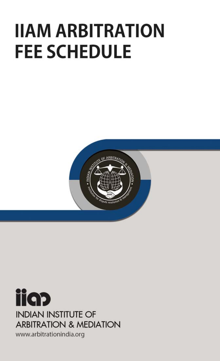# **IIAM ARBITRATION FEE SCHEDULE**



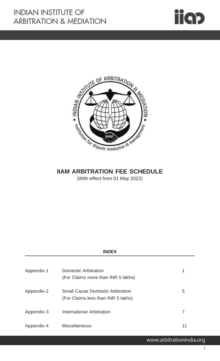



# **IIAM ARBITRATION FEE SCHEDULE**

(With effect from 01 May 2022)

| Appendix-1 | <b>Domestic Arbitration</b><br>(For Claims more than INR 5 lakhs)             |    |
|------------|-------------------------------------------------------------------------------|----|
| Appendix-2 | <b>Small Cause Domestic Arbitration</b><br>(For Claims less than INR 5 lakhs) | 5  |
| Appendix-3 | <b>International Arbitration</b>                                              |    |
| Appendix-4 | Miscellaneous                                                                 | 11 |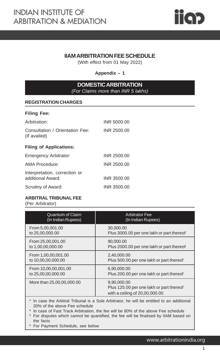

# **IIAM ARBITRATION FEE SCHEDULE**

(With effect from 01 May 2022)

**Appendix – 1**

# **DOMESTIC ARBITRATION** *(For Claims more than INR 5 lakhs)*

#### **REGISTRATION CHARGES**

| Arbitration:                                    | INR 5000.00 |
|-------------------------------------------------|-------------|
| Consultation / Orientation Fee:<br>(If availed) | INR 2500.00 |
| <b>Filing of Applications:</b>                  |             |
| <b>Emergency Arbitrator:</b>                    | INR 2500.00 |
| AMA Procedure:                                  | INR 2500.00 |
| Interpretation, correction or                   |             |
| additional Award:                               | INR 3500.00 |
| Scrutiny of Award:                              | INR 3500.00 |

#### **ARBITRAL TRIBUNAL FEE**

(Per Arbitrator)

| <b>Quantum of Claim</b>   | <b>Arbitrator Fee</b>                                                                     |
|---------------------------|-------------------------------------------------------------------------------------------|
| (In Indian Rupees)        | (In Indian Rupees)                                                                        |
| From 5,00,001.00          | 30,000.00                                                                                 |
| to 25,00,000.00           | Plus 3000.00 per one lakh or part thereof                                                 |
| From 25,00,001.00         | 90,000.00                                                                                 |
| to 1,00,00,000.00         | Plus 2000.00 per one lakh or part thereof                                                 |
| From 1,00,00,001.00       | 2,40,000.00                                                                               |
| to 10,00,00,000.00        | Plus 500.00 per one lakh or part thereof                                                  |
| From 10,00,00,001.00      | 6,90,000.00                                                                               |
| to 25,00,00,000.00        | Plus 200.00 per one lakh or part thereof                                                  |
| More than 25,00,00,000.00 | 9,90,000.00<br>Plus 125.00 per one lakh or part thereof<br>with a ceiling of 20,00,000.00 |

\* In case the Arbitral Tribunal is a Sole Arbitrator, he will be entitled to an additional 20% of the above Fee schedule

\* In case of Fast Track Arbitration, the fee will be 80% of the above Fee schedule

\* For disputes which cannot be quantified, the fee will be finalised by IIAM based on the facts

\* For Payment Schedule, see below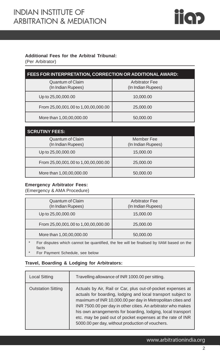

## **Additional Fees for the Arbitral Tribunal:**

(Per Arbitrator)

| FEES FOR INTERPRETATION, CORRECTION OR ADDITIONAL AWARD: |                                             |  |
|----------------------------------------------------------|---------------------------------------------|--|
| <b>Quantum of Claim</b><br>(In Indian Rupees)            | <b>Arbitrator Fee</b><br>(In Indian Rupees) |  |
| Up to 25,00,000.00                                       | 10,000.00                                   |  |
| From 25,00,001.00 to 1,00,00,000.00                      | 25,000.00                                   |  |
| More than 1,00,00,000.00                                 | 50,000.00                                   |  |

| <b>SCRUTINY FEES:</b>               |                    |
|-------------------------------------|--------------------|
| <b>Quantum of Claim</b>             | Member Fee         |
| (In Indian Rupees)                  | (In Indian Rupees) |
| Up to 25,00,000.00                  | 15,000.00          |
| From 25,00,001.00 to 1,00,00,000.00 | 25,000.00          |
| More than 1,00,00,000.00            | 50,000.00          |

#### **Emergency Arbitrator Fees:**

(Emergency & AMA Procedure)

| <b>Quantum of Claim</b>             | <b>Arbitrator Fee</b>                                                                 |
|-------------------------------------|---------------------------------------------------------------------------------------|
| (In Indian Rupees)                  | (In Indian Rupees)                                                                    |
| Up to 25,00,000.00                  | 15,000.00                                                                             |
| From 25,00,001.00 to 1,00,00,000.00 | 25,000.00                                                                             |
| More than 1,00,00,000.00            | 50,000.00                                                                             |
| $\star$                             | For disputes which cannot be quantified the fee will be finalised by UAM based on the |

For disputes which cannot be quantified, the fee will be finalised by IIAM based on the facts

For Payment Schedule, see below

#### **Travel, Boarding & Lodging for Arbitrators:**

| <b>Local Sitting</b>      | Travelling allowance of INR 1000.00 per sitting.                                                                                                                                                                                                                                                                                                                                                                                            |
|---------------------------|---------------------------------------------------------------------------------------------------------------------------------------------------------------------------------------------------------------------------------------------------------------------------------------------------------------------------------------------------------------------------------------------------------------------------------------------|
| <b>Outstation Sitting</b> | Actuals by Air, Rail or Car, plus out-of-pocket expenses at<br>actuals for boarding, lodging and local transport subject to<br>maximum of INR 10,000.00 per day in Metropolitan cities and<br>INR 7500.00 per day in other cities. An arbitrator who makes<br>his own arrangements for boarding, lodging, local transport<br>etc. may be paid out of pocket expenses at the rate of INR<br>5000.00 per day, without production of vouchers. |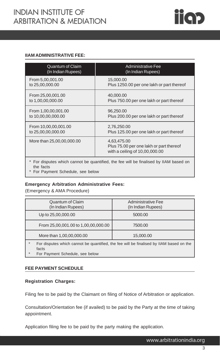

#### **IIAM ADMINISTRATIVE FEE:**

| <b>Quantum of Claim</b>                                                                          | Administrative Fee                                                                       |
|--------------------------------------------------------------------------------------------------|------------------------------------------------------------------------------------------|
| (In Indian Rupees)                                                                               | (In Indian Rupees)                                                                       |
| From 5,00,001.00                                                                                 | 15,000.00                                                                                |
| to 25,00,000.00                                                                                  | Plus 1250.00 per one lakh or part thereof                                                |
| From 25,00,001.00                                                                                | 40,000.00                                                                                |
| to 1,00,00,000.00                                                                                | Plus 750.00 per one lakh or part thereof                                                 |
| From 1,00,00,001.00                                                                              | 96,250.00                                                                                |
| to 10,00,00,000.00                                                                               | Plus 200.00 per one lakh or part thereof                                                 |
| From 10,00,00,001.00                                                                             | 2,76,250.00                                                                              |
| to 25,00,00,000.00                                                                               | Plus 125.00 per one lakh or part thereof                                                 |
| More than 25,00,00,000.00                                                                        | 4,63,475.00<br>Plus 75.00 per one lakh or part thereof<br>with a ceiling of 10,00,000.00 |
| For disputes which cannot be quantified, the fee will be finalised by IIAM based on<br>the facts |                                                                                          |

\* For Payment Schedule, see below

#### **Emergency Arbitration Administrative Fees:**

(Emergency & AMA Procedure)

| <b>Quantum of Claim</b>                                                                                    | Administrative Fee |
|------------------------------------------------------------------------------------------------------------|--------------------|
| (In Indian Rupees)                                                                                         | (In Indian Rupees) |
| Up to 25,00,000.00                                                                                         | 5000.00            |
| From 25,00,001.00 to 1,00,00,000.00                                                                        | 7500.00            |
| More than 1,00,00,000.00                                                                                   | 15,000.00          |
| $\ast$<br>For disputes which cannot be quantified, the fee will be finalised by IIAM based on the<br>facts |                    |

For Payment Schedule, see below

#### **FEE PAYMENT SCHEDULE**

#### **Registration Charges:**

Filing fee to be paid by the Claimant on filing of Notice of Arbitration or application.

Consultation/Orientation fee (if availed) to be paid by the Party at the time of taking appointment.

Application filing fee to be paid by the party making the application.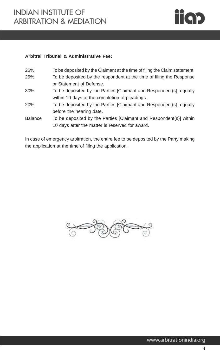

#### **Arbitral Tribunal & Administrative Fee:**

- 25% To be deposited by the Claimant at the time of filing the Claim statement. 25% To be deposited by the respondent at the time of filing the Response or Statement of Defense. 30% To be deposited by the Parties [Claimant and Respondent(s)] equally
- within 10 days of the completion of pleadings.
- 20% To be deposited by the Parties [Claimant and Respondent(s)] equally before the hearing date.
- Balance To be deposited by the Parties [Claimant and Respondent(s)] within 10 days after the matter is reserved for award.

In case of emergency arbitration, the entire fee to be deposited by the Party making the application at the time of filing the application.

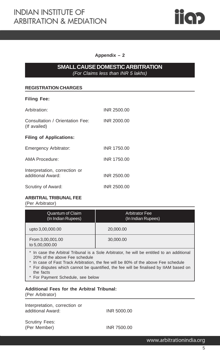

#### **Appendix – 2**

# **SMALL CAUSE DOMESTIC ARBITRATION** *(For Claims less than INR 5 lakhs)*

#### **REGISTRATION CHARGES**

#### **Filing Fee:**

| Arbitration:                                       | INR 2500.00 |
|----------------------------------------------------|-------------|
| Consultation / Orientation Fee:<br>(If availed)    | INR 2000.00 |
| <b>Filing of Applications:</b>                     |             |
| <b>Emergency Arbitrator:</b>                       | INR 1750.00 |
| <b>AMA Procedure:</b>                              | INR 1750.00 |
| Interpretation, correction or<br>additional Award: | INR 2500.00 |
| Scrutiny of Award:                                 | INR 2500.00 |

#### **ARBITRAL TRIBUNAL FEE**

(Per Arbitrator)

| Quantum of Claim<br>(In Indian Rupees)                                                                                                                                                                                                                                                                 | <b>Arbitrator Fee</b><br>(In Indian Rupees) |
|--------------------------------------------------------------------------------------------------------------------------------------------------------------------------------------------------------------------------------------------------------------------------------------------------------|---------------------------------------------|
| upto 3,00,000.00                                                                                                                                                                                                                                                                                       | 20,000.00                                   |
| From 3,00,001.00<br>to 5,00,000.00                                                                                                                                                                                                                                                                     | 30,000.00                                   |
| * In case the Arbitral Tribunal is a Sole Arbitrator, he will be entitled to an additional<br>20% of the above Fee schedule<br>In case of Fast Track Arbitration, the fee will be 80% of the above Fee schedule<br>For disputes which cannot be quantified, the fee will be finalised by IIAM based on |                                             |

the facts

\* For Payment Schedule, see below

#### **Additional Fees for the Arbitral Tribunal:** (Per Arbitrator)

Interpretation, correction or additional Award: INR 5000.00

Scrutiny Fees: (Per Member) INR 7500.00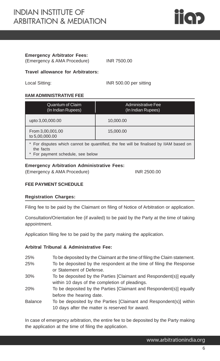

#### **Emergency Arbitrator Fees:** (Emergency & AMA Procedure) INR 7500.00

#### **Travel allowance for Arbitrators:**

Local Sitting: INR 500.00 per sitting

#### **IIAM ADMINISTRATIVE FEE**

| Quantum of Claim<br>(In Indian Rupees)                                                             | <b>Administrative Fee</b><br>(In Indian Rupees) |
|----------------------------------------------------------------------------------------------------|-------------------------------------------------|
| upto 3,00,000.00                                                                                   | 10,000.00                                       |
| From 3,00,001.00<br>to 5,00,000.00                                                                 | 15,000.00                                       |
| * For disputes which cannot be quantified, the fee will be finalised by IIAM based on<br>the facts |                                                 |

For payment schedule, see below

#### **Emergency Arbitration Administrative Fees:**

(Emergency & AMA Procedure) INR 2500.00

#### **FEE PAYMENT SCHEDULE**

#### **Registration Charges:**

Filing fee to be paid by the Claimant on filing of Notice of Arbitration or application.

Consultation/Orientation fee (if availed) to be paid by the Party at the time of taking appointment.

Application filing fee to be paid by the party making the application.

#### **Arbitral Tribunal & Administrative Fee:**

- 25% To be deposited by the Claimant at the time of filing the Claim statement.
- 25% To be deposited by the respondent at the time of filing the Response or Statement of Defense.
- 30% To be deposited by the Parties [Claimant and Respondent(s)] equally within 10 days of the completion of pleadings.
- 20% To be deposited by the Parties [Claimant and Respondent(s)] equally before the hearing date.
- Balance To be deposited by the Parties [Claimant and Respondent(s)] within 10 days after the matter is reserved for award.

In case of emergency arbitration, the entire fee to be deposited by the Party making the application at the time of filing the application.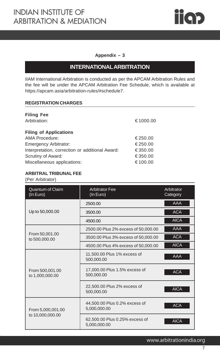

#### **Appendix – 3**

# **INTERNATIONAL ARBITRATION**

IIAM International Arbitration is conducted as per the APCAM Arbitration Rules and the fee will be under the APCAM Arbitration Fee Schedule, which is available at https://apcam.asia/arbitration-rules/#schedule7.

#### **REGISTRATION CHARGES**

| <b>Filing Fee</b>                               |          |
|-------------------------------------------------|----------|
| Arbitration:                                    | €1000.00 |
| <b>Filing of Applications</b>                   |          |
| <b>AMA Procedure:</b>                           | €250.00  |
| <b>Emergency Arbitrator:</b>                    | €250.00  |
| Interpretation, correction or additional Award: | €350.00  |
| Scrutiny of Award:                              | €350.00  |
| Miscellaneous applications:                     | €100.00  |
|                                                 |          |

#### **ARBITRAL TRIBUNAL FEE**

(Per Arbitrator)

| Quantum of Claim<br>(In Euro)         | <b>Arbitrator Fee</b><br>(In Euro)             | Arbitrator<br>Category |
|---------------------------------------|------------------------------------------------|------------------------|
|                                       | 2500.00                                        | <b>AAA</b>             |
| Up to 50,000.00                       | 3500.00                                        | <b>ACA</b>             |
|                                       | 4500.00                                        | <b>AICA</b>            |
|                                       | 2500.00 Plus 2% excess of 50,000.00            | <b>AAA</b>             |
| From 50,001.00<br>to 500,000.00       | 3500.00 Plus 3% excess of 50,000.00            | <b>ACA</b>             |
|                                       | 4500.00 Plus 4% excess of 50,000.00            | <b>AICA</b>            |
| From 500,001.00<br>to 1,000,000.00    | 11,500.00 Plus 1% excess of<br>500,000.00      | <b>AAA</b>             |
|                                       | 17,000.00 Plus 1.5% excess of<br>500,000.00    | <b>ACA</b>             |
|                                       | 22,500.00 Plus 2% excess of<br>500,000.00      | <b>AICA</b>            |
| From 5,000,001.00<br>to 10,000,000.00 | 44,500.00 Plus 0.2% excess of<br>5,000,000.00  | <b>ACA</b>             |
|                                       | 62,500.00 Plus 0.25% excess of<br>5,000,000.00 | <b>AICA</b>            |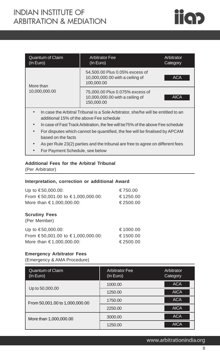# **INDIAN INSTITUTE OF ARBITRATION & MEDIATION**



| <b>Quantum of Claim</b><br>(In Euro) | <b>Arbitrator Fee</b><br>(In Euro)                                                                                                                                                                               | Arbitrator<br>Category |
|--------------------------------------|------------------------------------------------------------------------------------------------------------------------------------------------------------------------------------------------------------------|------------------------|
| More than<br>10,000,000.00           | 54,500.00 Plus 0.05% excess of<br>10,000,000.00 with a ceiling of<br>100,000.00                                                                                                                                  | <b>ACA</b>             |
|                                      | 75,000.00 Plus 0.075% excess of<br>10,000,000.00 with a ceiling of<br>150,000.00                                                                                                                                 | <b>AICA</b>            |
| $\bullet$                            | In case the Arbitral Tribunal is a Sole Arbitrator, she/he will be entitled to an<br>additional 15% of the above Fee schedule<br>In case of East Track Arbitration the fee will be 75%, of the above Easephodule |                        |

- In case of Fast Track Arbitration, the fee will be75% of the above Fee schedule
- For disputes which cannot be quantified, the fee will be finalised by APCAM based on the facts
- As per Rule 23(2) parties and the tribunal are free to agree on different fees
- For Payment Schedule, see below

#### **Additional Fees for the Arbitral Tribunal**

(Per Arbitrator)

#### **Interpretation, correction or additional Award**

| Up to €50,000.00:                    | €750.00  |
|--------------------------------------|----------|
| From €50,001.00 to €1,000,000.00:    | €1250.00 |
| More than €1,000,000.00:             | €2500.00 |
| <b>Scrutiny Fees</b><br>(Per Member) |          |
| Up to €50,000.00:                    | €1000.00 |
| From €50,001.00 to €1,000,000.00:    | €1500.00 |

More than € 1,000,000.00: € 2500.00

#### **Emergency Arbitrator Fees**

(Emergency & AMA Procedure)

| <b>Quantum of Claim</b><br>(In Euro) | <b>Arbitrator Fee</b><br>(In Euro) | Arbitrator<br>Category |
|--------------------------------------|------------------------------------|------------------------|
| Up to 50,000.00                      | 1000.00                            | <b>ACA</b>             |
|                                      | 1250.00                            | <b>AICA</b>            |
| From 50,001.00 to 1,000,000.00       | 1750.00                            | <b>ACA</b>             |
|                                      | 2250.00                            | <b>AICA</b>            |
| More than 1,000,000.00               | 3000.00                            | <b>ACA</b>             |
|                                      | 1250.00                            | <b>AICA</b>            |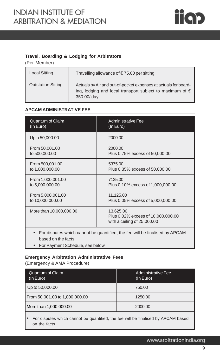

## **Travel, Boarding & Lodging for Arbitrators**

(Per Member)

| <b>Local Sitting</b>      | Travelling allowance of €75.00 per sitting.                                                                                                          |
|---------------------------|------------------------------------------------------------------------------------------------------------------------------------------------------|
| <b>Outstation Sitting</b> | Actuals by Air and out-of-pocket expenses at actuals for board-<br>ing, lodging and local transport subject to maximum of $\epsilon$<br>350.00/ day. |

#### **APCAM ADMINISTRATIVE FEE**

| <b>Quantum of Claim</b> | <b>Administrative Fee</b>                                                      |
|-------------------------|--------------------------------------------------------------------------------|
| (In Euro)               | (In Euro)                                                                      |
| Upto 50,000.00          | 2000.00                                                                        |
| From 50,001.00          | 2000.00                                                                        |
| to 500,000.00           | Plus 0.75% excess of 50,000.00                                                 |
| From 500,001.00         | 5375.00                                                                        |
| to 1,000,000.00         | Plus 0.35% excess of 50,000.00                                                 |
| From 1,000,001.00       | 7125.00                                                                        |
| to 5,000,000.00         | Plus 0.10% excess of 1,000,000.00                                              |
| From 5,000,001.00       | 11,125.00                                                                      |
| to 10,000,000.00        | Plus 0.05% excess of 5,000,000.00                                              |
| More than 10,000,000.00 | 13,625.00<br>Plus 0.02% excess of 10,000,000.00<br>with a ceiling of 25,000.00 |
|                         |                                                                                |

- For disputes which cannot be quantified, the fee will be finalised by APCAM based on the facts
- For Payment Schedule, see below

#### **Emergency Arbitration Administrative Fees**

(Emergency & AMA Procedure)

| <b>Administrative Fee</b><br>(In Euro) |
|----------------------------------------|
| 750.00                                 |
| 1250.00                                |
| 2000.00                                |
|                                        |

• For disputes which cannot be quantified, the fee will be finalised by APCAM based on the facts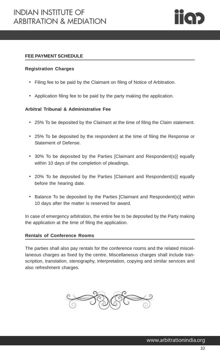

#### **FEE PAYMENT SCHEDULE**

#### **Registration Charges**

- Filing fee to be paid by the Claimant on filing of Notice of Arbitration.
- Application filing fee to be paid by the party making the application.

#### **Arbitral Tribunal & Administrative Fee**

- 25% To be deposited by the Claimant at the time of filing the Claim statement.
- 25% To be deposited by the respondent at the time of filing the Response or Statement of Defense.
- 30% To be deposited by the Parties [Claimant and Respondent(s)] equally within 10 days of the completion of pleadings.
- 20% To be deposited by the Parties [Claimant and Respondent(s)] equally before the hearing date.
- Balance To be deposited by the Parties [Claimant and Respondent(s)] within 10 days after the matter is reserved for award.

In case of emergency arbitration, the entire fee to be deposited by the Party making the application at the time of filing the application.

#### **Rentals of Conference Rooms**

The parties shall also pay rentals for the conference rooms and the related miscellaneous charges as fixed by the centre. Miscellaneous charges shall include transcription, translation, stenography, interpretation, copying and similar services and also refreshment charges.

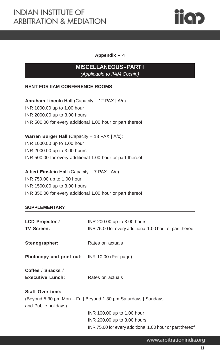

#### **Appendix – 4**

# **MISCELLANEOUS - PART I** *(Applicable to IIAM Cochin)*

#### **RENT FOR IIAM CONFERENCE ROOMS**

**Abraham Lincoln Hall** (Capacity – 12 PAX | A/c): INR 1000.00 up to 1.00 hour INR 2000.00 up to 3.00 hours INR 500.00 for every additional 1.00 hour or part thereof

**Warren Burger Hall** (Capacity – 18 PAX | A/c): INR 1000.00 up to 1.00 hour INR 2000.00 up to 3.00 hours INR 500.00 for every additional 1.00 hour or part thereof

**Albert Einstein Hall** (Capacity – 7 PAX | A/c): INR 750.00 up to 1.00 hour INR 1500.00 up to 3.00 hours INR 350.00 for every additional 1.00 hour or part thereof

#### **SUPPLEMENTARY**

| <b>LCD Projector /</b><br><b>TV Screen:</b>          | INR 200.00 up to 3.00 hours<br>INR 75.00 for every additional 1.00 hour or part thereof                               |  |
|------------------------------------------------------|-----------------------------------------------------------------------------------------------------------------------|--|
| Stenographer:                                        | Rates on actuals                                                                                                      |  |
| <b>Photocopy and print out:</b> INR 10.00 (Per page) |                                                                                                                       |  |
| Coffee / Snacks /<br><b>Executive Lunch:</b>         | Rates on actuals                                                                                                      |  |
| <b>Staff Over-time:</b><br>and Public holidays)      | (Beyond 5.30 pm Mon - Fri   Beyond 1.30 pm Saturdays   Sundays                                                        |  |
|                                                      | INR 100.00 up to 1.00 hour<br>INR 200.00 up to 3.00 hours<br>INR 75.00 for every additional 1.00 hour or part thereof |  |

www.arbitrationindia.org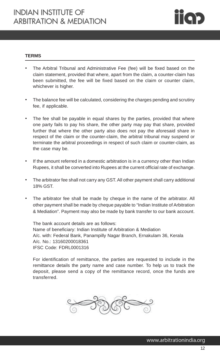

#### **TERMS**

- The Arbitral Tribunal and Administrative Fee (fee) will be fixed based on the claim statement, provided that where, apart from the claim, a counter-claim has been submitted, the fee will be fixed based on the claim or counter claim, whichever is higher.
- The balance fee will be calculated, considering the charges pending and scrutiny fee, if applicable.
- The fee shall be payable in equal shares by the parties, provided that where one party fails to pay his share, the other party may pay that share, provided further that where the other party also does not pay the aforesaid share in respect of the claim or the counter-claim, the arbitral tribunal may suspend or terminate the arbitral proceedings in respect of such claim or counter-claim, as the case may be.
- If the amount referred in a domestic arbitration is in a currency other than Indian Rupees, it shall be converted into Rupees at the current official rate of exchange.
- The arbitrator fee shall not carry any GST. All other payment shall carry additional 18% GST.
- The arbitrator fee shall be made by cheque in the name of the arbitrator. All other payment shall be made by cheque payable to "Indian Institute of Arbitration & Mediation". Payment may also be made by bank transfer to our bank account.

The bank account details are as follows: Name of beneficiary: Indian Institute of Arbitration & Mediation A/c. with: Federal Bank, Panampilly Nagar Branch, Ernakulam 36, Kerala A/c. No.: 13160200018361 IFSC Code: FDRL0001316

For identification of remittance, the parties are requested to include in the remittance details the party name and case number. To help us to track the deposit, please send a copy of the remittance record, once the funds are transferred.

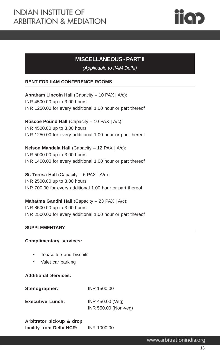

# **MISCELLANEOUS - PART II**

*(Applicable to IIAM Delhi)*

#### **RENT FOR IIAM CONFERENCE ROOMS**

**Abraham Lincoln Hall** (Capacity – 10 PAX | A/c): INR 4500.00 up to 3.00 hours INR 1250.00 for every additional 1.00 hour or part thereof

**Roscoe Pound Hall** (Capacity – 10 PAX | A/c): INR 4500.00 up to 3.00 hours INR 1250.00 for every additional 1.00 hour or part thereof

**Nelson Mandela Hall** (Capacity – 12 PAX | A/c): INR 5000.00 up to 3.00 hours INR 1400.00 for every additional 1.00 hour or part thereof

**St. Teresa Hall** (Capacity – 6 PAX | A/c): INR 2500.00 up to 3.00 hours INR 700.00 for every additional 1.00 hour or part thereof

**Mahatma Gandhi Hall** (Capacity – 23 PAX | A/c): INR 8500.00 up to 3.00 hours INR 2500.00 for every additional 1.00 hour or part thereof

#### **SUPPLEMENTARY**

#### **Complimentary services:**

- Tea/coffee and biscuits
- Valet car parking

#### **Additional Services:**

**Stenographer:** INR 1500.00

| <b>Executive Lunch:</b> | INR 450.00 (Veg)     |
|-------------------------|----------------------|
|                         | INR 550.00 (Non-veg) |

**Arbitrator pick-up & drop facility from Delhi NCR:** INR 1000.00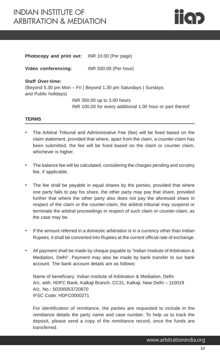

#### **Photocopy and print out:** INR 10.00 (Per page)

**Video conferencing:** INR 500.00 (Per hour)

#### **Staff Over-time:**

(Beyond 5.30 pm Mon – Fri | Beyond 1.30 pm Saturdays | Sundays and Public holidays) INR 350.00 up to 3.00 hours

INR 100.00 for every additional 1.00 hour or part thereof

#### **TERMS**

- The Arbitral Tribunal and Administrative Fee (fee) will be fixed based on the claim statement, provided that where, apart from the claim, a counter-claim has been submitted, the fee will be fixed based on the claim or counter claim, whichever is higher.
- The balance fee will be calculated, considering the charges pending and scrutiny fee, if applicable.
- The fee shall be payable in equal shares by the parties, provided that where one party fails to pay his share, the other party may pay that share, provided further that where the other party also does not pay the aforesaid share in respect of the claim or the counter-claim, the arbitral tribunal may suspend or terminate the arbitral proceedings in respect of such claim or counter-claim, as the case may be.
- If the amount referred in a domestic arbitration is in a currency other than Indian Rupees, it shall be converted into Rupees at the current official rate of exchange.
- All payment shall be made by cheque payable to "Indian Institute of Arbitration & Mediation, Delhi". Payment may also be made by bank transfer to our bank account. The bank account details are as follows:

Name of beneficiary: Indian Institute of Arbitration & Mediation, Delhi A/c. with: HDFC Bank, Kalkaji Branch, CC31, Kalkaji, New Delhi – 110019 A/c. No.: 50200053720870 IFSC Code: HDFC0000271

For identification of remittance, the parties are requested to include in the remittance details the party name and case number. To help us to track the deposit, please send a copy of the remittance record, once the funds are transferred.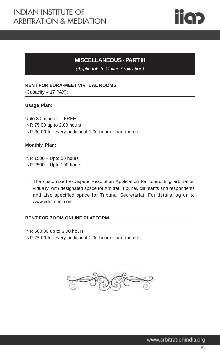

# **MISCELLANEOUS - PART III**

*(Applicable to Online Arbitration)*

#### **RENT FOR EDRA-MEET VIRTUAL ROOMS**

(Capacity – 17 PAX):

#### **Usage Plan:**

Upto 30 minutes – FREE INR 75.00 up to 2.00 hours INR 30.00 for every additional 1.00 hour or part thereof

#### **Monthly Plan:**

INR 1500 – Upto 50 hours INR 2500 – Upto 100 hours

• The customized e-Dispute Resolution Application for conducting arbitration virtually, with designated space for Arbitral Tribunal, claimants and respondents and also specified space for Tribunal Secretariat. For details log on to www.edrameet.com

#### **RENT FOR ZOOM ONLINE PLATFORM**

INR 500.00 up to 3.00 hours INR 75.00 for every additional 1.00 hour or part thereof